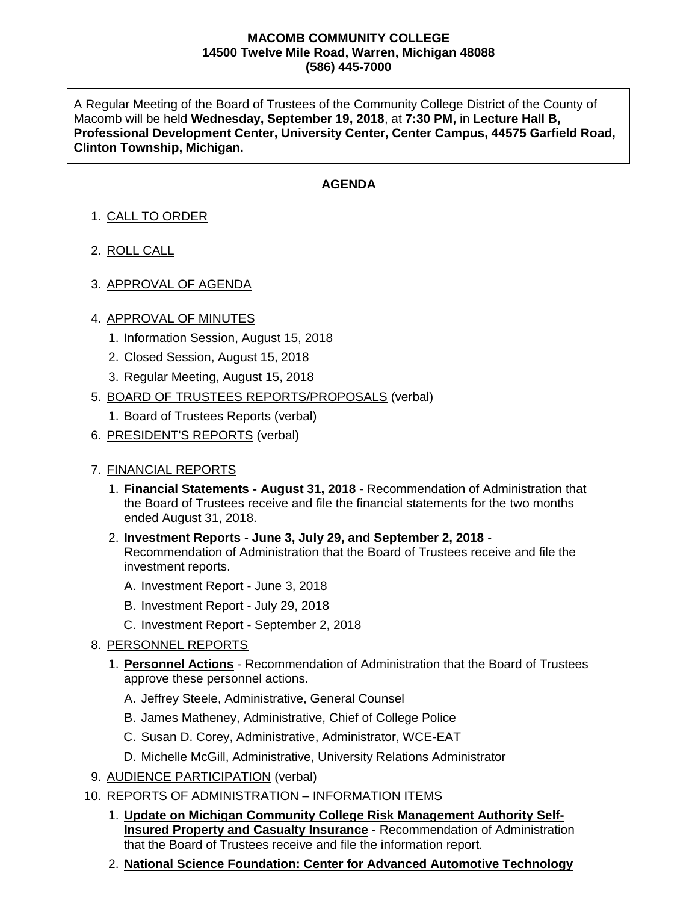### **MACOMB COMMUNITY COLLEGE 14500 Twelve Mile Road, Warren, Michigan 48088 (586) 445-7000**

A Regular Meeting of the Board of Trustees of the Community College District of the County of Macomb will be held **Wednesday, September 19, 2018**, at **7:30 PM,** in **Lecture Hall B, Professional Development Center, University Center, Center Campus, 44575 Garfield Road, Clinton Township, Michigan.**

# **AGENDA**

- 1. CALL TO ORDER
- 2. ROLL CALL
- 3. APPROVAL OF AGENDA

## 4. APPROVAL OF MINUTES

- 1. Information Session, August 15, 2018
- 2. Closed Session, August 15, 2018
- 3. Regular Meeting, August 15, 2018
- 5. BOARD OF TRUSTEES REPORTS/PROPOSALS (verbal)
	- 1. Board of Trustees Reports (verbal)
- 6. PRESIDENT'S REPORTS (verbal)

## 7. FINANCIAL REPORTS

- 1. **Financial Statements - August 31, 2018** Recommendation of Administration that the Board of Trustees receive and file the financial statements for the two months ended August 31, 2018.
- 2. **Investment Reports - June 3, July 29, and September 2, 2018** Recommendation of Administration that the Board of Trustees receive and file the investment reports.
	- A. Investment Report June 3, 2018
	- B. Investment Report July 29, 2018
	- C. Investment Report September 2, 2018

## 8. PERSONNEL REPORTS

- 1. **Personnel Actions** Recommendation of Administration that the Board of Trustees approve these personnel actions.
	- A. Jeffrey Steele, Administrative, General Counsel
	- B. James Matheney, Administrative, Chief of College Police
	- C. Susan D. Corey, Administrative, Administrator, WCE-EAT
	- D. Michelle McGill, Administrative, University Relations Administrator
- 9. AUDIENCE PARTICIPATION (verbal)
- 10. REPORTS OF ADMINISTRATION INFORMATION ITEMS
	- 1. **Update on Michigan Community College Risk Management Authority Self-Insured Property and Casualty Insurance** - Recommendation of Administration that the Board of Trustees receive and file the information report.
	- 2. **National Science Foundation: Center for Advanced Automotive Technology**